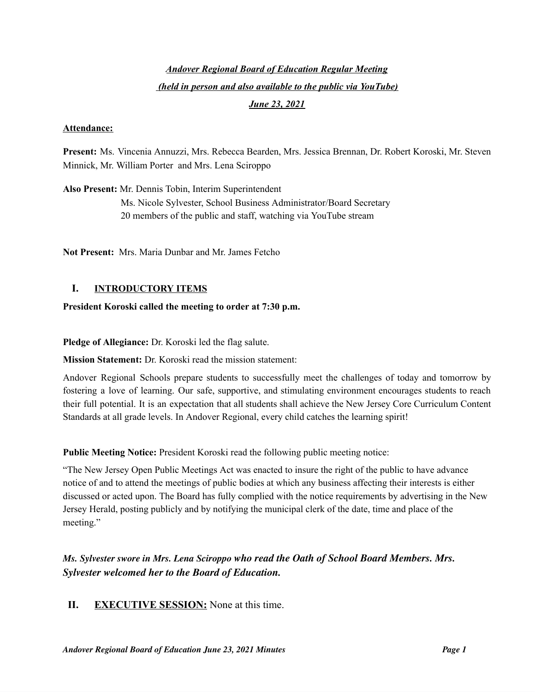# *Andover Regional Board of Education Regular Meeting (held in person and also available to the public via YouTube)*

#### *June 23, 2021*

#### **Attendance:**

**Present:** Ms. Vincenia Annuzzi, Mrs. Rebecca Bearden, Mrs. Jessica Brennan, Dr. Robert Koroski, Mr. Steven Minnick, Mr. William Porter and Mrs. Lena Sciroppo

**Also Present:** Mr. Dennis Tobin, Interim Superintendent Ms. Nicole Sylvester, School Business Administrator/Board Secretary 20 members of the public and staff, watching via YouTube stream

**Not Present:** Mrs. Maria Dunbar and Mr. James Fetcho

### **I. INTRODUCTORY ITEMS**

#### **President Koroski called the meeting to order at 7:30 p.m.**

**Pledge of Allegiance:** Dr. Koroski led the flag salute.

**Mission Statement:** Dr. Koroski read the mission statement:

Andover Regional Schools prepare students to successfully meet the challenges of today and tomorrow by fostering a love of learning. Our safe, supportive, and stimulating environment encourages students to reach their full potential. It is an expectation that all students shall achieve the New Jersey Core Curriculum Content Standards at all grade levels. In Andover Regional, every child catches the learning spirit!

**Public Meeting Notice:** President Koroski read the following public meeting notice:

"The New Jersey Open Public Meetings Act was enacted to insure the right of the public to have advance notice of and to attend the meetings of public bodies at which any business affecting their interests is either discussed or acted upon. The Board has fully complied with the notice requirements by advertising in the New Jersey Herald, posting publicly and by notifying the municipal clerk of the date, time and place of the meeting."

*Ms. Sylvester swore in Mrs. Lena Sciroppo who read the Oath of School Board Members. Mrs. Sylvester welcomed her to the Board of Education.*

#### **II. EXECUTIVE SESSION:** None at this time.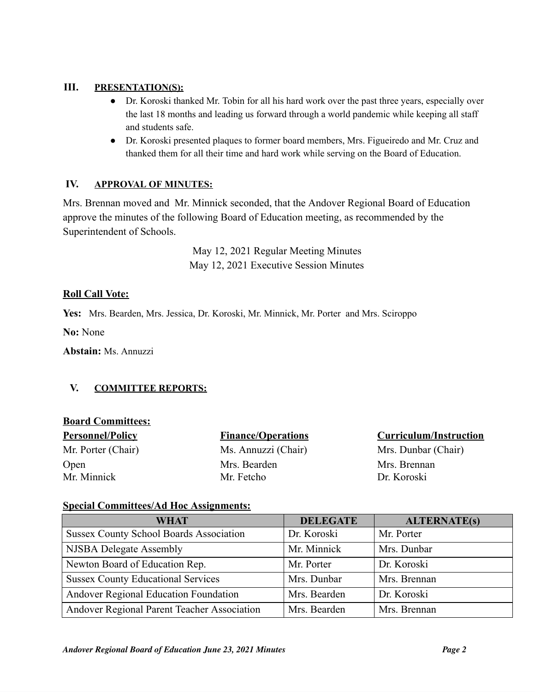### **III. PRESENTATION(S):**

- Dr. Koroski thanked Mr. Tobin for all his hard work over the past three years, especially over the last 18 months and leading us forward through a world pandemic while keeping all staff and students safe.
- Dr. Koroski presented plaques to former board members, Mrs. Figueiredo and Mr. Cruz and thanked them for all their time and hard work while serving on the Board of Education.

### **IV. APPROVAL OF MINUTES:**

Mrs. Brennan moved and Mr. Minnick seconded, that the Andover Regional Board of Education approve the minutes of the following Board of Education meeting, as recommended by the Superintendent of Schools.

> May 12, 2021 Regular Meeting Minutes May 12, 2021 Executive Session Minutes

# **Roll Call Vote:**

**Yes:** Mrs. Bearden, Mrs. Jessica, Dr. Koroski, Mr. Minnick, Mr. Porter and Mrs. Sciroppo

**No:** None

**Abstain:** Ms. Annuzzi

# **V. COMMITTEE REPORTS:**

### **Board Committees:**

| <b>Personnel/Policy</b> |
|-------------------------|
| Mr. Porter (Chair)      |
| Open                    |
| Mr. Minnick             |

Mrs. Bearden Mrs. Brennan Mr. Fetcho Dr. Koroski

### **Finance/Operations Curriculum/Instruction**

Ms. Annuzzi (Chair) Mrs. Dunbar (Chair)

### **Special Committees/Ad Hoc Assignments:**

| <b>WHAT</b>                                    | <b>DELEGATE</b> | <b>ALTERNATE(s)</b> |
|------------------------------------------------|-----------------|---------------------|
| <b>Sussex County School Boards Association</b> | Dr. Koroski     | Mr. Porter          |
| NJSBA Delegate Assembly                        | Mr. Minnick     | Mrs. Dunbar         |
| Newton Board of Education Rep.                 | Mr. Porter      | Dr. Koroski         |
| <b>Sussex County Educational Services</b>      | Mrs. Dunbar     | Mrs. Brennan        |
| Andover Regional Education Foundation          | Mrs. Bearden    | Dr. Koroski         |
| Andover Regional Parent Teacher Association    | Mrs. Bearden    | Mrs. Brennan        |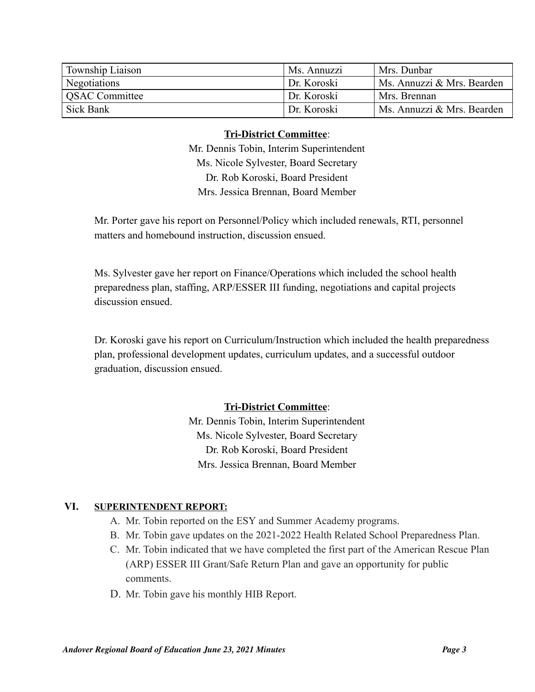| Township Liaison | Ms. Annuzzi | Mrs. Dunbar                |
|------------------|-------------|----------------------------|
| Negotiations     | Dr. Koroski | Ms. Annuzzi & Mrs. Bearden |
| QSAC Committee   | Dr. Koroski | Mrs. Brennan               |
| Sick Bank        | Dr. Koroski | Ms. Annuzzi & Mrs. Bearden |

#### **Tri-District Committee**:

Mr. Dennis Tobin, Interim Superintendent Ms. Nicole Sylvester, Board Secretary Dr. Rob Koroski, Board President Mrs. Jessica Brennan, Board Member

Mr. Porter gave his report on Personnel/Policy which included renewals, RTI, personnel matters and homebound instruction, discussion ensued.

Ms. Sylvester gave her report on Finance/Operations which included the school health preparedness plan, staffing, ARP/ESSER III funding, negotiations and capital projects discussion ensued.

Dr. Koroski gave his report on Curriculum/Instruction which included the health preparedness plan, professional development updates, curriculum updates, and a successful outdoor graduation, discussion ensued.

# **Tri-District Committee**:

Mr. Dennis Tobin, Interim Superintendent Ms. Nicole Sylvester, Board Secretary Dr. Rob Koroski, Board President Mrs. Jessica Brennan, Board Member

### **VI. SUPERINTENDENT REPORT:**

- A. Mr. Tobin reported on the ESY and Summer Academy programs.
- B. Mr. Tobin gave updates on the 2021-2022 Health Related School Preparedness Plan.
- C. Mr. Tobin indicated that we have completed the first part of the American Rescue Plan (ARP) ESSER III Grant/Safe Return Plan and gave an opportunity for public comments.
- D. Mr. Tobin gave his monthly HIB Report.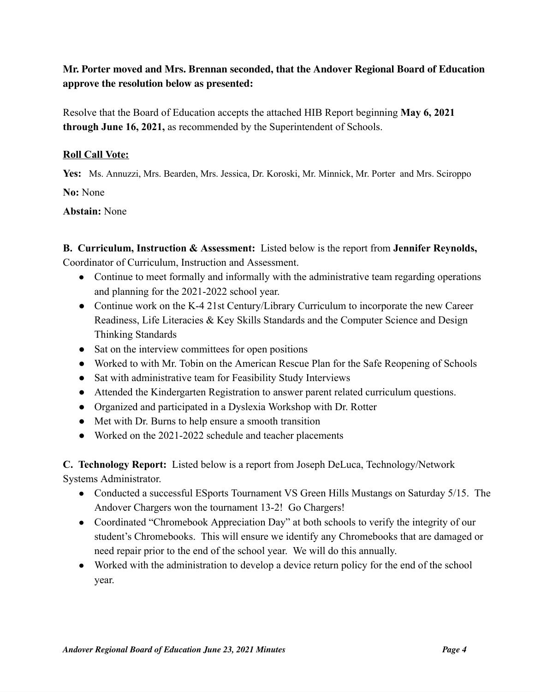# **Mr. Porter moved and Mrs. Brennan seconded, that the Andover Regional Board of Education approve the resolution below as presented:**

Resolve that the Board of Education accepts the attached HIB Report beginning **May 6, 2021 through June 16, 2021,** as recommended by the Superintendent of Schools.

### **Roll Call Vote:**

**Yes:** Ms. Annuzzi, Mrs. Bearden, Mrs. Jessica, Dr. Koroski, Mr. Minnick, Mr. Porter and Mrs. Sciroppo **No:** None

# **Abstain:** None

**B. Curriculum, Instruction & Assessment:** Listed below is the report from **Jennifer Reynolds,** Coordinator of Curriculum, Instruction and Assessment.

- Continue to meet formally and informally with the administrative team regarding operations and planning for the 2021-2022 school year.
- Continue work on the K-4 21st Century/Library Curriculum to incorporate the new Career Readiness, Life Literacies & Key Skills Standards and the Computer Science and Design Thinking Standards
- Sat on the interview committees for open positions
- Worked to with Mr. Tobin on the American Rescue Plan for the Safe Reopening of Schools
- Sat with administrative team for Feasibility Study Interviews
- Attended the Kindergarten Registration to answer parent related curriculum questions.
- Organized and participated in a Dyslexia Workshop with Dr. Rotter
- Met with Dr. Burns to help ensure a smooth transition
- Worked on the 2021-2022 schedule and teacher placements

**C. Technology Report:** Listed below is a report from Joseph DeLuca, Technology/Network

Systems Administrator.

- Conducted a successful ESports Tournament VS Green Hills Mustangs on Saturday 5/15. The Andover Chargers won the tournament 13-2! Go Chargers!
- Coordinated "Chromebook Appreciation Day" at both schools to verify the integrity of our student's Chromebooks. This will ensure we identify any Chromebooks that are damaged or need repair prior to the end of the school year. We will do this annually.
- Worked with the administration to develop a device return policy for the end of the school year.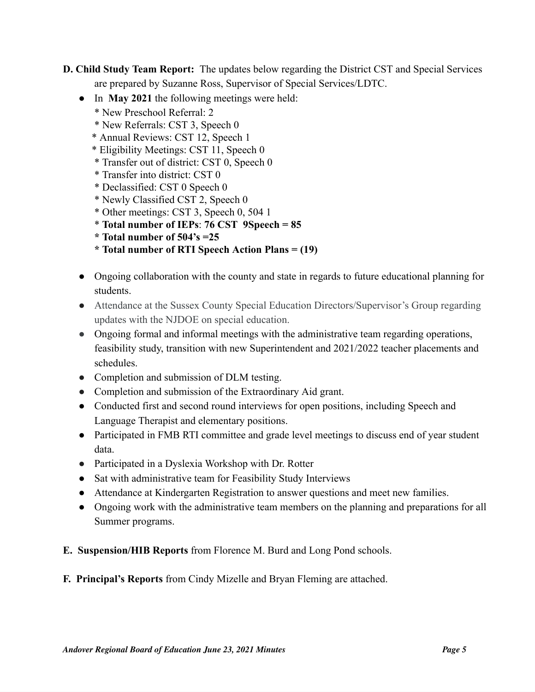**D. Child Study Team Report:** The updates below regarding the District CST and Special Services are prepared by Suzanne Ross, Supervisor of Special Services/LDTC.

- In **May 2021** the following meetings were held:
	- \* New Preschool Referral: 2
	- \* New Referrals: CST 3, Speech 0
	- \* Annual Reviews: CST 12, Speech 1
	- \* Eligibility Meetings: CST 11, Speech 0
	- \* Transfer out of district: CST 0, Speech 0
	- \* Transfer into district: CST 0
	- \* Declassified: CST 0 Speech 0
	- \* Newly Classified CST 2, Speech 0
	- \* Other meetings: CST 3, Speech 0, 504 1
	- \* **Total number of IEPs**: **76 CST 9Speech = 85**
	- **\* Total number of 504's =25**
	- **\* Total number of RTI Speech Action Plans = (19)**
- Ongoing collaboration with the county and state in regards to future educational planning for students.
- Attendance at the Sussex County Special Education Directors/Supervisor's Group regarding updates with the NJDOE on special education.
- Ongoing formal and informal meetings with the administrative team regarding operations, feasibility study, transition with new Superintendent and 2021/2022 teacher placements and schedules.
- Completion and submission of DLM testing.
- Completion and submission of the Extraordinary Aid grant.
- Conducted first and second round interviews for open positions, including Speech and Language Therapist and elementary positions.
- Participated in FMB RTI committee and grade level meetings to discuss end of year student data.
- Participated in a Dyslexia Workshop with Dr. Rotter
- Sat with administrative team for Feasibility Study Interviews
- Attendance at Kindergarten Registration to answer questions and meet new families.
- Ongoing work with the administrative team members on the planning and preparations for all Summer programs.
- **E. Suspension/HIB Reports** from Florence M. Burd and Long Pond schools.
- **F. Principal's Reports** from Cindy Mizelle and Bryan Fleming are attached.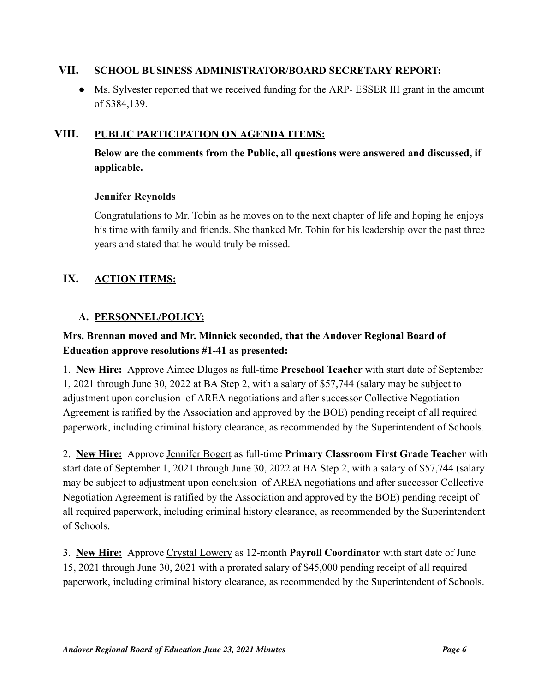# **VII. SCHOOL BUSINESS ADMINISTRATOR/BOARD SECRETARY REPORT:**

● Ms. Sylvester reported that we received funding for the ARP- ESSER III grant in the amount of \$384,139.

# **VIII. PUBLIC PARTICIPATION ON AGENDA ITEMS:**

**Below are the comments from the Public, all questions were answered and discussed, if applicable.**

# **Jennifer Reynolds**

Congratulations to Mr. Tobin as he moves on to the next chapter of life and hoping he enjoys his time with family and friends. She thanked Mr. Tobin for his leadership over the past three years and stated that he would truly be missed.

# **IX. ACTION ITEMS:**

# **A. PERSONNEL/POLICY:**

# **Mrs. Brennan moved and Mr. Minnick seconded, that the Andover Regional Board of Education approve resolutions #1-41 as presented:**

1. **New Hire:** Approve Aimee Dlugos as full-time **Preschool Teacher** with start date of September 1, 2021 through June 30, 2022 at BA Step 2, with a salary of \$57,744 (salary may be subject to adjustment upon conclusion of AREA negotiations and after successor Collective Negotiation Agreement is ratified by the Association and approved by the BOE) pending receipt of all required paperwork, including criminal history clearance, as recommended by the Superintendent of Schools.

2. **New Hire:** Approve Jennifer Bogert as full-time **Primary Classroom First Grade Teacher** with start date of September 1, 2021 through June 30, 2022 at BA Step 2, with a salary of \$57,744 (salary may be subject to adjustment upon conclusion of AREA negotiations and after successor Collective Negotiation Agreement is ratified by the Association and approved by the BOE) pending receipt of all required paperwork, including criminal history clearance, as recommended by the Superintendent of Schools.

3. **New Hire:** Approve Crystal Lowery as 12-month **Payroll Coordinator** with start date of June 15, 2021 through June 30, 2021 with a prorated salary of \$45,000 pending receipt of all required paperwork, including criminal history clearance, as recommended by the Superintendent of Schools.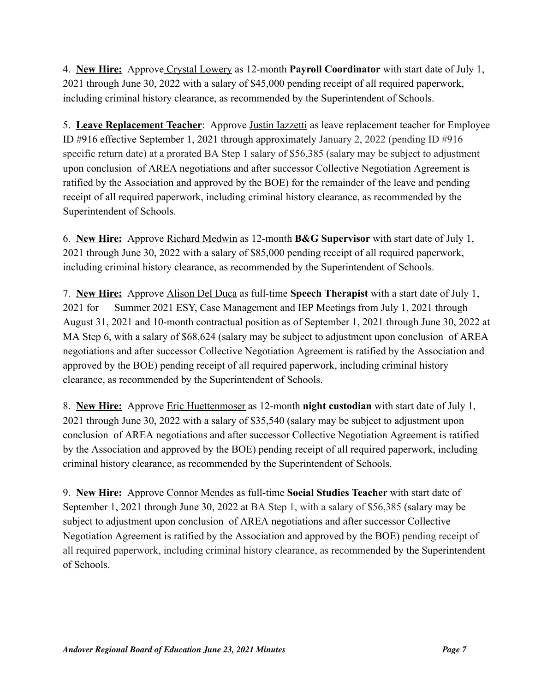4. **New Hire:** Approve Crystal Lowery as 12-month **Payroll Coordinator** with start date of July 1, 2021 through June 30, 2022 with a salary of \$45,000 pending receipt of all required paperwork, including criminal history clearance, as recommended by the Superintendent of Schools.

5. **Leave Replacement Teacher**: Approve Justin Iazzetti as leave replacement teacher for Employee ID #916 effective September 1, 2021 through approximately January 2, 2022 (pending ID #916 specific return date) at a prorated BA Step 1 salary of \$56,385 (salary may be subject to adjustment upon conclusion of AREA negotiations and after successor Collective Negotiation Agreement is ratified by the Association and approved by the BOE) for the remainder of the leave and pending receipt of all required paperwork, including criminal history clearance, as recommended by the Superintendent of Schools.

6. **New Hire:** Approve Richard Medwin as 12-month **B&G Supervisor** with start date of July 1, 2021 through June 30, 2022 with a salary of \$85,000 pending receipt of all required paperwork, including criminal history clearance, as recommended by the Superintendent of Schools.

7. **New Hire:** Approve Alison Del Duca as full-time **Speech Therapist** with a start date of July 1, 2021 for Summer 2021 ESY, Case Management and IEP Meetings from July 1, 2021 through August 31, 2021 and 10-month contractual position as of September 1, 2021 through June 30, 2022 at MA Step 6, with a salary of \$68,624 (salary may be subject to adjustment upon conclusion of AREA negotiations and after successor Collective Negotiation Agreement is ratified by the Association and approved by the BOE) pending receipt of all required paperwork, including criminal history clearance, as recommended by the Superintendent of Schools.

8. **New Hire:** Approve Eric Huettenmoser as 12-month **night custodian** with start date of July 1, 2021 through June 30, 2022 with a salary of \$35,540 (salary may be subject to adjustment upon conclusion of AREA negotiations and after successor Collective Negotiation Agreement is ratified by the Association and approved by the BOE) pending receipt of all required paperwork, including criminal history clearance, as recommended by the Superintendent of Schools.

9. **New Hire:** Approve Connor Mendes as full-time **Social Studies Teacher** with start date of September 1, 2021 through June 30, 2022 at BA Step 1, with a salary of \$56,385 (salary may be subject to adjustment upon conclusion of AREA negotiations and after successor Collective Negotiation Agreement is ratified by the Association and approved by the BOE) pending receipt of all required paperwork, including criminal history clearance, as recommended by the Superintendent of Schools.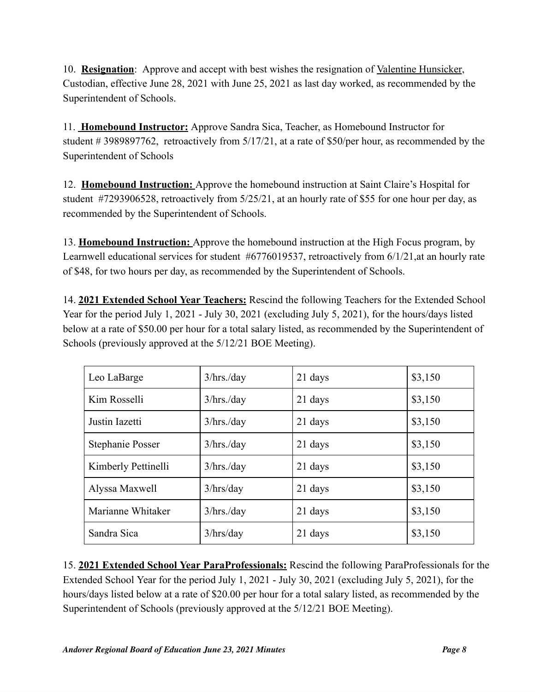10. **Resignation**: Approve and accept with best wishes the resignation of Valentine Hunsicker, Custodian, effective June 28, 2021 with June 25, 2021 as last day worked, as recommended by the Superintendent of Schools.

11. **Homebound Instructor:** Approve Sandra Sica, Teacher, as Homebound Instructor for student # 3989897762, retroactively from 5/17/21, at a rate of \$50/per hour, as recommended by the Superintendent of Schools

12. **Homebound Instruction:** Approve the homebound instruction at Saint Claire's Hospital for student #7293906528, retroactively from 5/25/21, at an hourly rate of \$55 for one hour per day, as recommended by the Superintendent of Schools.

13. **Homebound Instruction:** Approve the homebound instruction at the High Focus program, by Learnwell educational services for student #6776019537, retroactively from 6/1/21,at an hourly rate of \$48, for two hours per day, as recommended by the Superintendent of Schools.

14. **2021 Extended School Year Teachers:** Rescind the following Teachers for the Extended School Year for the period July 1, 2021 - July 30, 2021 (excluding July 5, 2021), for the hours/days listed below at a rate of \$50.00 per hour for a total salary listed, as recommended by the Superintendent of Schools (previously approved at the 5/12/21 BOE Meeting).

| Leo LaBarge         | $3/hrs$ ./day | 21 days | \$3,150 |
|---------------------|---------------|---------|---------|
| Kim Rosselli        | $3/hrs$ ./day | 21 days | \$3,150 |
| Justin Iazetti      | $3/hrs$ ./day | 21 days | \$3,150 |
| Stephanie Posser    | $3/hrs$ ./day | 21 days | \$3,150 |
| Kimberly Pettinelli | $3/hrs$ ./day | 21 days | \$3,150 |
| Alyssa Maxwell      | 3/hrs/day     | 21 days | \$3,150 |
| Marianne Whitaker   | $3/hrs$ ./day | 21 days | \$3,150 |
| Sandra Sica         | 3/hrs/day     | 21 days | \$3,150 |

15. **2021 Extended School Year ParaProfessionals:** Rescind the following ParaProfessionals for the Extended School Year for the period July 1, 2021 - July 30, 2021 (excluding July 5, 2021), for the hours/days listed below at a rate of \$20.00 per hour for a total salary listed, as recommended by the Superintendent of Schools (previously approved at the 5/12/21 BOE Meeting).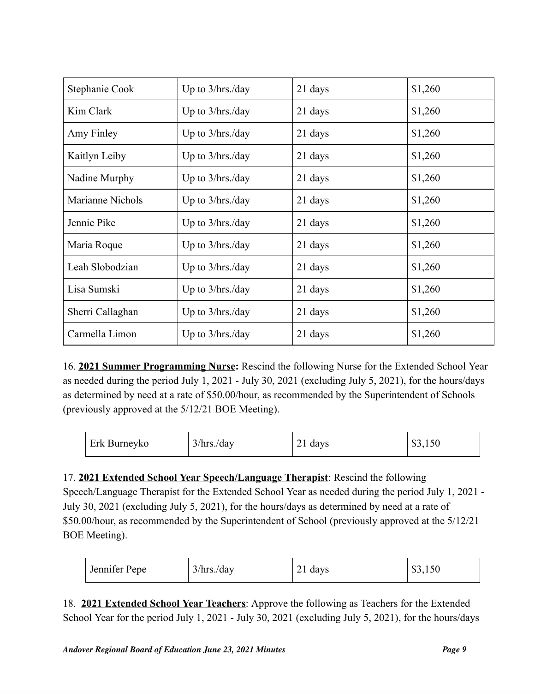| Stephanie Cook   | Up to $3/hrs$ ./day | 21 days | \$1,260 |
|------------------|---------------------|---------|---------|
| Kim Clark        | Up to 3/hrs./day    | 21 days | \$1,260 |
| Amy Finley       | Up to $3/hrs$ ./day | 21 days | \$1,260 |
| Kaitlyn Leiby    | Up to $3/hrs$ ./day | 21 days | \$1,260 |
| Nadine Murphy    | Up to $3/hrs$ ./day | 21 days | \$1,260 |
| Marianne Nichols | Up to $3/hrs$ ./day | 21 days | \$1,260 |
| Jennie Pike      | Up to $3/hrs$ ./day | 21 days | \$1,260 |
| Maria Roque      | Up to $3/hrs$ ./day | 21 days | \$1,260 |
| Leah Slobodzian  | Up to $3/hrs$ ./day | 21 days | \$1,260 |
| Lisa Sumski      | Up to $3/hrs$ ./day | 21 days | \$1,260 |
| Sherri Callaghan | Up to $3/hrs$ ./day | 21 days | \$1,260 |
| Carmella Limon   | Up to $3/hrs$ ./day | 21 days | \$1,260 |

16. **2021 Summer Programming Nurse:** Rescind the following Nurse for the Extended School Year as needed during the period July 1, 2021 - July 30, 2021 (excluding July 5, 2021), for the hours/days as determined by need at a rate of \$50.00/hour, as recommended by the Superintendent of Schools (previously approved at the 5/12/21 BOE Meeting).

| Erk Burneyko | $3/hrs$ ./day | 21 days | \$3,150 |
|--------------|---------------|---------|---------|
|--------------|---------------|---------|---------|

17. **2021 Extended School Year Speech/Language Therapist**: Rescind the following Speech/Language Therapist for the Extended School Year as needed during the period July 1, 2021 - July 30, 2021 (excluding July 5, 2021), for the hours/days as determined by need at a rate of \$50.00/hour, as recommended by the Superintendent of School (previously approved at the 5/12/21 BOE Meeting).

| Jennifer Pepe | $3/hrs$ ./day | days<br>~⊥ | \$3,150 |
|---------------|---------------|------------|---------|
|---------------|---------------|------------|---------|

18. **2021 Extended School Year Teachers**: Approve the following as Teachers for the Extended School Year for the period July 1, 2021 - July 30, 2021 (excluding July 5, 2021), for the hours/days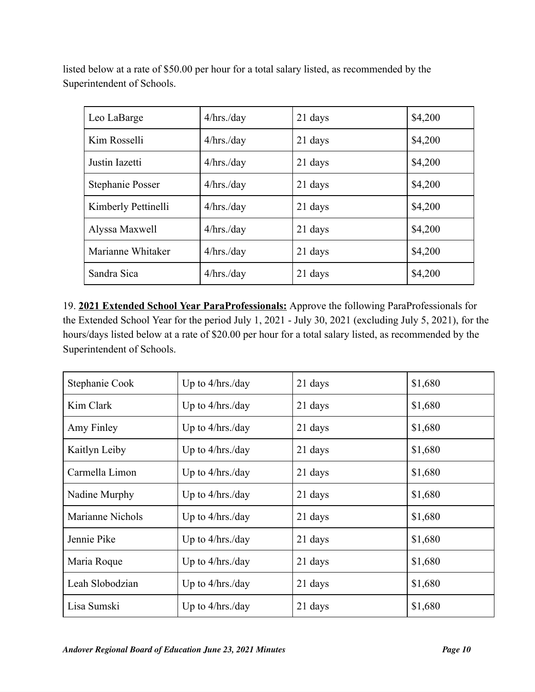listed below at a rate of \$50.00 per hour for a total salary listed, as recommended by the Superintendent of Schools.

| Leo LaBarge         | $4/hrs$ ./day | 21 days | \$4,200 |
|---------------------|---------------|---------|---------|
| Kim Rosselli        | $4/hrs$ ./day | 21 days | \$4,200 |
| Justin Iazetti      | $4/hrs$ ./day | 21 days | \$4,200 |
| Stephanie Posser    | $4/hrs$ ./day | 21 days | \$4,200 |
| Kimberly Pettinelli | $4/hrs$ ./day | 21 days | \$4,200 |
| Alyssa Maxwell      | $4/hrs$ ./day | 21 days | \$4,200 |
| Marianne Whitaker   | $4/hrs$ ./day | 21 days | \$4,200 |
| Sandra Sica         | $4/hrs$ ./day | 21 days | \$4,200 |

19. **2021 Extended School Year ParaProfessionals:** Approve the following ParaProfessionals for the Extended School Year for the period July 1, 2021 - July 30, 2021 (excluding July 5, 2021), for the hours/days listed below at a rate of \$20.00 per hour for a total salary listed, as recommended by the Superintendent of Schools.

| Stephanie Cook   | Up to $4/hrs$ ./day | 21 days | \$1,680 |
|------------------|---------------------|---------|---------|
| Kim Clark        | Up to $4/hrs$ ./day | 21 days | \$1,680 |
| Amy Finley       | Up to $4/hrs$ ./day | 21 days | \$1,680 |
| Kaitlyn Leiby    | Up to $4/hrs$ ./day | 21 days | \$1,680 |
| Carmella Limon   | Up to $4/hrs$ ./day | 21 days | \$1,680 |
| Nadine Murphy    | Up to $4/hrs$ ./day | 21 days | \$1,680 |
| Marianne Nichols | Up to $4/hrs$ ./day | 21 days | \$1,680 |
| Jennie Pike      | Up to $4/hrs$ ./day | 21 days | \$1,680 |
| Maria Roque      | Up to $4/hrs$ ./day | 21 days | \$1,680 |
| Leah Slobodzian  | Up to $4/hrs$ ./day | 21 days | \$1,680 |
| Lisa Sumski      | Up to $4/hrs$ ./day | 21 days | \$1,680 |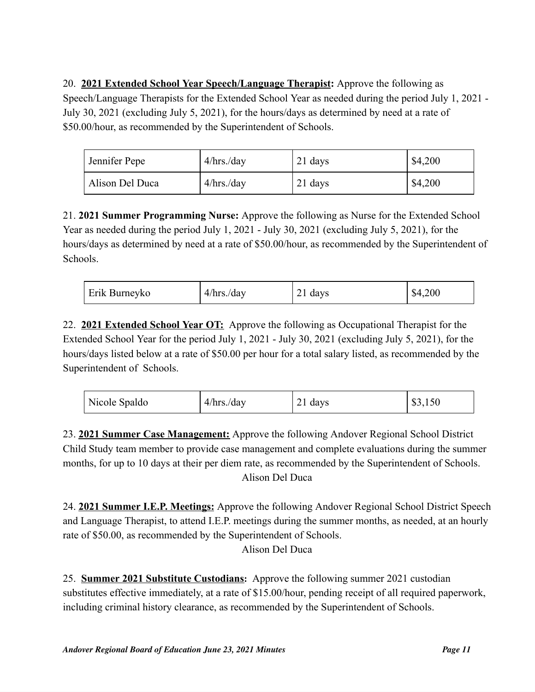20. **2021 Extended School Year Speech/Language Therapist:** Approve the following as Speech/Language Therapists for the Extended School Year as needed during the period July 1, 2021 - July 30, 2021 (excluding July 5, 2021), for the hours/days as determined by need at a rate of \$50.00/hour, as recommended by the Superintendent of Schools.

| Jennifer Pepe   | $4/hrs$ ./day | 21 days | \$4,200 |
|-----------------|---------------|---------|---------|
| Alison Del Duca | $4/hrs$ ./day | 21 days | \$4,200 |

21. **2021 Summer Programming Nurse:** Approve the following as Nurse for the Extended School Year as needed during the period July 1, 2021 - July 30, 2021 (excluding July 5, 2021), for the hours/days as determined by need at a rate of \$50.00/hour, as recommended by the Superintendent of Schools.

| Erik Burneyko | $4/hrs$ ./day | 21 days | \$4,200 |
|---------------|---------------|---------|---------|
|---------------|---------------|---------|---------|

22. **2021 Extended School Year OT:** Approve the following as Occupational Therapist for the Extended School Year for the period July 1, 2021 - July 30, 2021 (excluding July 5, 2021), for the hours/days listed below at a rate of \$50.00 per hour for a total salary listed, as recommended by the Superintendent of Schools.

| Nicole Spaldo | $4/hrs$ ./day | 21 days | \$3,150 |
|---------------|---------------|---------|---------|
|---------------|---------------|---------|---------|

23. **2021 Summer Case Management:** Approve the following Andover Regional School District Child Study team member to provide case management and complete evaluations during the summer months, for up to 10 days at their per diem rate, as recommended by the Superintendent of Schools. Alison Del Duca

24. **2021 Summer I.E.P. Meetings:** Approve the following Andover Regional School District Speech and Language Therapist, to attend I.E.P. meetings during the summer months, as needed, at an hourly rate of \$50.00, as recommended by the Superintendent of Schools.

Alison Del Duca

25. **Summer 2021 Substitute Custodians:** Approve the following summer 2021 custodian substitutes effective immediately, at a rate of \$15.00/hour, pending receipt of all required paperwork, including criminal history clearance, as recommended by the Superintendent of Schools.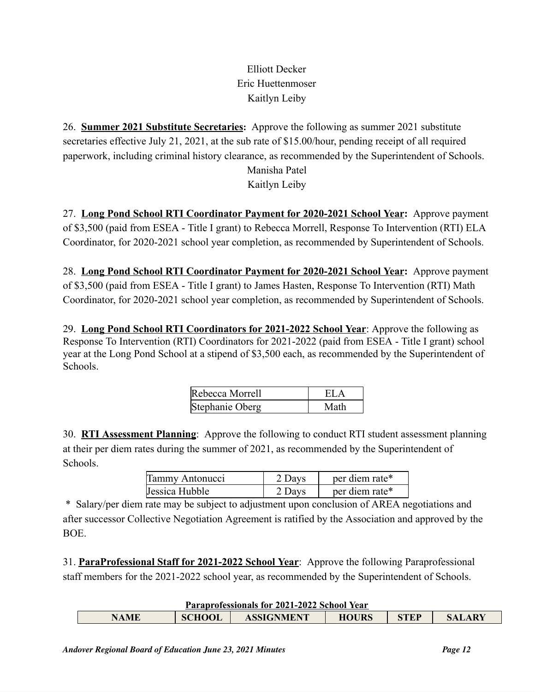# Elliott Decker Eric Huettenmoser Kaitlyn Leiby

26. **Summer 2021 Substitute Secretaries:** Approve the following as summer 2021 substitute secretaries effective July 21, 2021, at the sub rate of \$15.00/hour, pending receipt of all required paperwork, including criminal history clearance, as recommended by the Superintendent of Schools. Manisha Patel

Kaitlyn Leiby

27. **Long Pond School RTI Coordinator Payment for 2020-2021 School Year:** Approve payment of \$3,500 (paid from ESEA - Title I grant) to Rebecca Morrell, Response To Intervention (RTI) ELA Coordinator, for 2020-2021 school year completion, as recommended by Superintendent of Schools.

28. **Long Pond School RTI Coordinator Payment for 2020-2021 School Year:** Approve payment of \$3,500 (paid from ESEA - Title I grant) to James Hasten, Response To Intervention (RTI) Math Coordinator, for 2020-2021 school year completion, as recommended by Superintendent of Schools.

29. **Long Pond School RTI Coordinators for 2021-2022 School Year**: Approve the following as Response To Intervention (RTI) Coordinators for 2021-2022 (paid from ESEA - Title I grant) school year at the Long Pond School at a stipend of \$3,500 each, as recommended by the Superintendent of Schools.

| Rebecca Morrell | EL.  |
|-----------------|------|
| Stephanie Oberg | Math |

30. **RTI Assessment Planning**: Approve the following to conduct RTI student assessment planning at their per diem rates during the summer of 2021, as recommended by the Superintendent of Schools.

| Tammy Antonucci | 2 Days | per diem rate* |
|-----------------|--------|----------------|
| Jessica Hubble  | 2 Days | per diem rate* |

\* Salary/per diem rate may be subject to adjustment upon conclusion of AREA negotiations and after successor Collective Negotiation Agreement is ratified by the Association and approved by the BOE.

31. **ParaProfessional Staff for 2021-2022 School Year**: Approve the following Paraprofessional staff members for the 2021-2022 school year, as recommended by the Superintendent of Schools.

| Paraprofessionals for 2021-2022 School Year |  |  |
|---------------------------------------------|--|--|
|                                             |  |  |

| STEP<br><b>SCHOOL</b><br><b>ASSIGNMENT</b><br><b>HOURS</b><br>A MF<br><b>ARY</b> | T MI MDI VIVOJUJIMIO TOI JUZI JUZI OVINUOI TVMI |  |  |  |  |  |
|----------------------------------------------------------------------------------|-------------------------------------------------|--|--|--|--|--|
|                                                                                  |                                                 |  |  |  |  |  |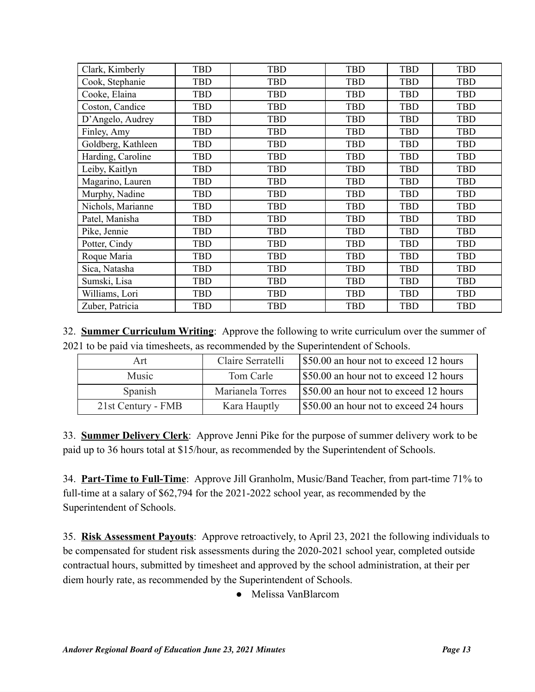| Clark, Kimberly    | <b>TBD</b> | <b>TBD</b> | <b>TBD</b> | <b>TBD</b> | <b>TBD</b> |
|--------------------|------------|------------|------------|------------|------------|
| Cook, Stephanie    | <b>TBD</b> | <b>TBD</b> | <b>TBD</b> | <b>TBD</b> | <b>TBD</b> |
| Cooke, Elaina      | <b>TBD</b> | <b>TBD</b> | TBD        | TBD        | <b>TBD</b> |
| Coston, Candice    | <b>TBD</b> | <b>TBD</b> | TBD        | TBD        | <b>TBD</b> |
| D'Angelo, Audrey   | <b>TBD</b> | <b>TBD</b> | <b>TBD</b> | TBD        | <b>TBD</b> |
| Finley, Amy        | <b>TBD</b> | <b>TBD</b> | TBD        | <b>TBD</b> | <b>TBD</b> |
| Goldberg, Kathleen | <b>TBD</b> | <b>TBD</b> | TBD        | TBD        | <b>TBD</b> |
| Harding, Caroline  | <b>TBD</b> | <b>TBD</b> | <b>TBD</b> | <b>TBD</b> | <b>TBD</b> |
| Leiby, Kaitlyn     | <b>TBD</b> | <b>TBD</b> | <b>TBD</b> | <b>TBD</b> | <b>TBD</b> |
| Magarino, Lauren   | <b>TBD</b> | <b>TBD</b> | TBD        | TBD        | <b>TBD</b> |
| Murphy, Nadine     | <b>TBD</b> | <b>TBD</b> | TBD        | <b>TBD</b> | <b>TBD</b> |
| Nichols, Marianne  | <b>TBD</b> | <b>TBD</b> | TBD        | <b>TBD</b> | <b>TBD</b> |
| Patel, Manisha     | <b>TBD</b> | <b>TBD</b> | <b>TBD</b> | TBD        | <b>TBD</b> |
| Pike, Jennie       | <b>TBD</b> | <b>TBD</b> | TBD        | TBD        | <b>TBD</b> |
| Potter, Cindy      | <b>TBD</b> | <b>TBD</b> | <b>TBD</b> | <b>TBD</b> | <b>TBD</b> |
| Roque Maria        | <b>TBD</b> | <b>TBD</b> | TBD        | <b>TBD</b> | <b>TBD</b> |
| Sica, Natasha      | <b>TBD</b> | <b>TBD</b> | TBD        | TBD        | <b>TBD</b> |
| Sumski, Lisa       | <b>TBD</b> | <b>TBD</b> | TBD        | TBD        | <b>TBD</b> |
| Williams, Lori     | <b>TBD</b> | <b>TBD</b> | TBD        | <b>TBD</b> | <b>TBD</b> |
| Zuber, Patricia    | <b>TBD</b> | <b>TBD</b> | <b>TBD</b> | <b>TBD</b> | <b>TBD</b> |

32. **Summer Curriculum Writing**: Approve the following to write curriculum over the summer of 2021 to be paid via timesheets, as recommended by the Superintendent of Schools.

| Art                | Claire Serratelli | \$50.00 an hour not to exceed 12 hours |
|--------------------|-------------------|----------------------------------------|
| Music              | Tom Carle         | \$50.00 an hour not to exceed 12 hours |
| Spanish            | Marianela Torres  | \$50.00 an hour not to exceed 12 hours |
| 21st Century - FMB | Kara Hauptly      | \$50.00 an hour not to exceed 24 hours |

33. **Summer Delivery Clerk**: Approve Jenni Pike for the purpose of summer delivery work to be paid up to 36 hours total at \$15/hour, as recommended by the Superintendent of Schools.

34. **Part-Time to Full-Time**: Approve Jill Granholm, Music/Band Teacher, from part-time 71% to full-time at a salary of \$62,794 for the 2021-2022 school year, as recommended by the Superintendent of Schools.

35. **Risk Assessment Payouts**: Approve retroactively, to April 23, 2021 the following individuals to be compensated for student risk assessments during the 2020-2021 school year, completed outside contractual hours, submitted by timesheet and approved by the school administration, at their per diem hourly rate, as recommended by the Superintendent of Schools.

● Melissa VanBlarcom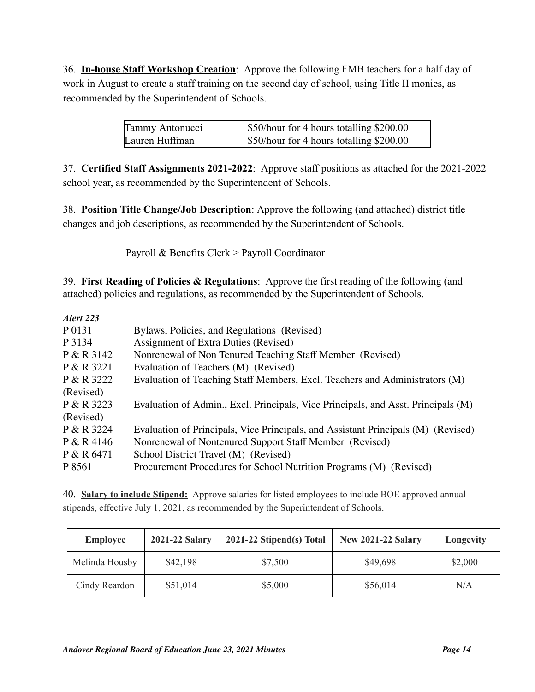36. **In-house Staff Workshop Creation**: Approve the following FMB teachers for a half day of work in August to create a staff training on the second day of school, using Title II monies, as recommended by the Superintendent of Schools.

| Tammy Antonucci | \$50/hour for 4 hours totalling \$200.00 |
|-----------------|------------------------------------------|
| Lauren Huffman  | \$50/hour for 4 hours totalling \$200.00 |

37. **Certified Staff Assignments 2021-2022**: Approve staff positions as attached for the 2021-2022 school year, as recommended by the Superintendent of Schools.

38. **Position Title Change/Job Description**: Approve the following (and attached) district title changes and job descriptions, as recommended by the Superintendent of Schools.

Payroll & Benefits Clerk > Payroll Coordinator

39. **First Reading of Policies & Regulations**: Approve the first reading of the following (and attached) policies and regulations, as recommended by the Superintendent of Schools.

| Alert 223  |                                                                                   |
|------------|-----------------------------------------------------------------------------------|
| P 0131     | Bylaws, Policies, and Regulations (Revised)                                       |
| P 3134     | Assignment of Extra Duties (Revised)                                              |
| P & R 3142 | Nonrenewal of Non Tenured Teaching Staff Member (Revised)                         |
| P & R 3221 | Evaluation of Teachers (M) (Revised)                                              |
| P & R 3222 | Evaluation of Teaching Staff Members, Excl. Teachers and Administrators (M)       |
| (Revised)  |                                                                                   |
| P & R 3223 | Evaluation of Admin., Excl. Principals, Vice Principals, and Asst. Principals (M) |
| (Revised)  |                                                                                   |
| P & R 3224 | Evaluation of Principals, Vice Principals, and Assistant Principals (M) (Revised) |
| P & R 4146 | Nonrenewal of Nontenured Support Staff Member (Revised)                           |
| P & R 6471 | School District Travel (M) (Revised)                                              |
| P 8561     | Procurement Procedures for School Nutrition Programs (M) (Revised)                |

40. **Salary to include Stipend:** Approve salaries for listed employees to include BOE approved annual stipends, effective July 1, 2021, as recommended by the Superintendent of Schools.

| <b>Employee</b> | 2021-22 Salary | 2021-22 Stipend(s) Total | <b>New 2021-22 Salary</b> | Longevity |
|-----------------|----------------|--------------------------|---------------------------|-----------|
| Melinda Housby  | \$42,198       | \$7,500                  | \$49,698                  | \$2,000   |
| Cindy Reardon   | \$51,014       | \$5,000                  | \$56,014                  | N/A       |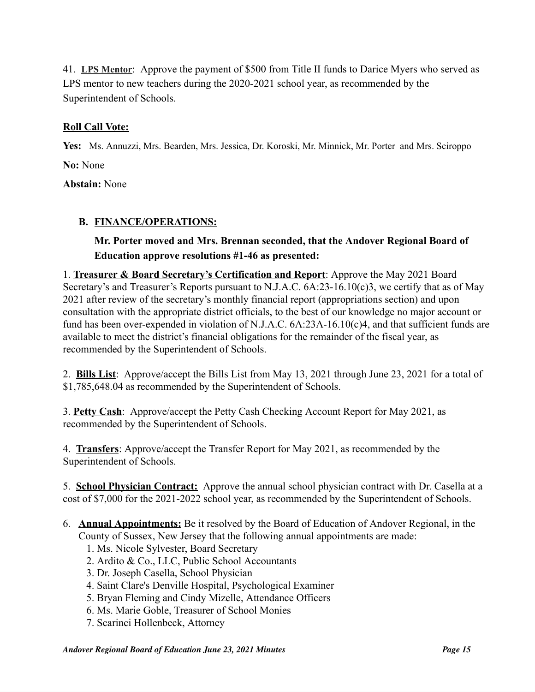41. **LPS Mentor**: Approve the payment of \$500 from Title II funds to Darice Myers who served as LPS mentor to new teachers during the 2020-2021 school year, as recommended by the Superintendent of Schools.

# **Roll Call Vote:**

**Yes:** Ms. Annuzzi, Mrs. Bearden, Mrs. Jessica, Dr. Koroski, Mr. Minnick, Mr. Porter and Mrs. Sciroppo **No:** None

**Abstain:** None

# **B. FINANCE/OPERATIONS:**

# **Mr. Porter moved and Mrs. Brennan seconded, that the Andover Regional Board of Education approve resolutions #1-46 as presented:**

1. **Treasurer & Board Secretary's Certification and Report**: Approve the May 2021 Board Secretary's and Treasurer's Reports pursuant to N.J.A.C. 6A:23-16.10(c)3, we certify that as of May 2021 after review of the secretary's monthly financial report (appropriations section) and upon consultation with the appropriate district officials, to the best of our knowledge no major account or fund has been over-expended in violation of N.J.A.C. 6A:23A-16.10(c)4, and that sufficient funds are available to meet the district's financial obligations for the remainder of the fiscal year, as recommended by the Superintendent of Schools.

2. **Bills List**: Approve/accept the Bills List from May 13, 2021 through June 23, 2021 for a total of \$1,785,648.04 as recommended by the Superintendent of Schools.

3. **Petty Cash**: Approve/accept the Petty Cash Checking Account Report for May 2021, as recommended by the Superintendent of Schools.

4. **Transfers**: Approve/accept the Transfer Report for May 2021, as recommended by the Superintendent of Schools.

5. **School Physician Contract:** Approve the annual school physician contract with Dr. Casella at a cost of \$7,000 for the 2021-2022 school year, as recommended by the Superintendent of Schools.

- 6. **Annual Appointments:** Be it resolved by the Board of Education of Andover Regional, in the County of Sussex, New Jersey that the following annual appointments are made:
	- 1. Ms. Nicole Sylvester, Board Secretary
	- 2. Ardito & Co., LLC, Public School Accountants
	- 3. Dr. Joseph Casella, School Physician
	- 4. Saint Clare's Denville Hospital, Psychological Examiner
	- 5. Bryan Fleming and Cindy Mizelle, Attendance Officers
	- 6. Ms. Marie Goble, Treasurer of School Monies
	- 7. Scarinci [Hollenbeck,](http://scarincihollenbeck.com/) Attorney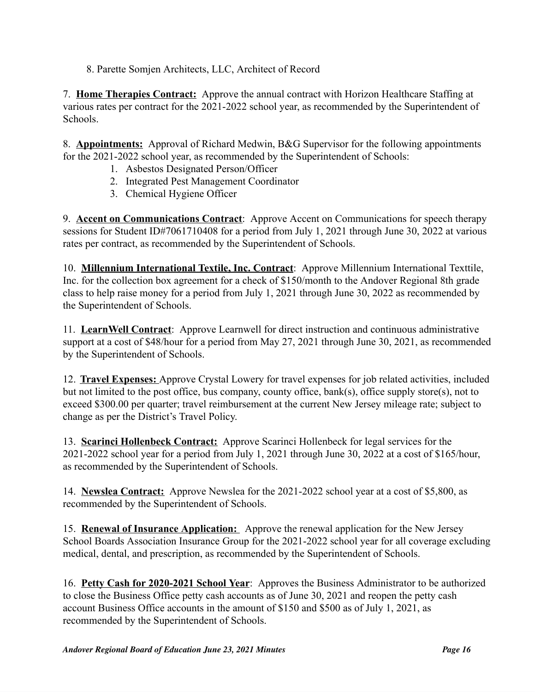8. Parette Somjen Architects, LLC, Architect of Record

7. **Home Therapies Contract:** Approve the annual contract with Horizon Healthcare Staffing at various rates per contract for the 2021-2022 school year, as recommended by the Superintendent of Schools.

8. **Appointments:** Approval of Richard Medwin, B&G Supervisor for the following appointments for the 2021-2022 school year, as recommended by the Superintendent of Schools:

- 1. Asbestos Designated Person/Officer
- 2. Integrated Pest Management Coordinator
- 3. Chemical Hygiene Officer

9. **Accent on Communications Contract**: Approve Accent on Communications for speech therapy sessions for Student ID#7061710408 for a period from July 1, 2021 through June 30, 2022 at various rates per contract, as recommended by the Superintendent of Schools.

10. **Millennium International Textile, Inc. Contract**: Approve Millennium International Texttile, Inc. for the collection box agreement for a check of \$150/month to the Andover Regional 8th grade class to help raise money for a period from July 1, 2021 through June 30, 2022 as recommended by the Superintendent of Schools.

11. **LearnWell Contract**: Approve Learnwell for direct instruction and continuous administrative support at a cost of \$48/hour for a period from May 27, 2021 through June 30, 2021, as recommended by the Superintendent of Schools.

12. **Travel Expenses:** Approve Crystal Lowery for travel expenses for job related activities, included but not limited to the post office, bus company, county office, bank(s), office supply store(s), not to exceed \$300.00 per quarter; travel reimbursement at the current New Jersey mileage rate; subject to change as per the District's Travel Policy.

13. **Scarinci Hollenbeck Contract:** Approve Scarinci Hollenbeck for legal services for the 2021-2022 school year for a period from July 1, 2021 through June 30, 2022 at a cost of \$165/hour, as recommended by the Superintendent of Schools.

14. **Newslea Contract:** Approve Newslea for the 2021-2022 school year at a cost of \$5,800, as recommended by the Superintendent of Schools.

15. **Renewal of Insurance Application:** Approve the renewal application for the New Jersey School Boards Association Insurance Group for the 2021-2022 school year for all coverage excluding medical, dental, and prescription, as recommended by the Superintendent of Schools.

16. **Petty Cash for 2020-2021 School Year**: Approves the Business Administrator to be authorized to close the Business Office petty cash accounts as of June 30, 2021 and reopen the petty cash account Business Office accounts in the amount of \$150 and \$500 as of July 1, 2021, as recommended by the Superintendent of Schools.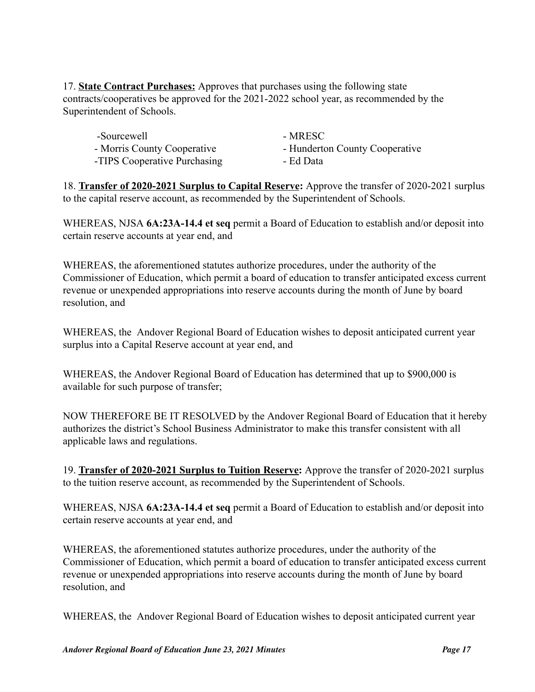17. **State Contract Purchases:** Approves that purchases using the following state contracts/cooperatives be approved for the 2021-2022 school year, as recommended by the Superintendent of Schools.

| -Sourcewell                  | - MRESC                        |
|------------------------------|--------------------------------|
| - Morris County Cooperative  | - Hunderton County Cooperative |
| -TIPS Cooperative Purchasing | - Ed Data                      |

18. **Transfer of 2020-2021 Surplus to Capital Reserve:** Approve the transfer of 2020-2021 surplus to the capital reserve account, as recommended by the Superintendent of Schools.

WHEREAS, NJSA **6A:23A-14.4 et seq** permit a Board of Education to establish and/or deposit into certain reserve accounts at year end, and

WHEREAS, the aforementioned statutes authorize procedures, under the authority of the Commissioner of Education, which permit a board of education to transfer anticipated excess current revenue or unexpended appropriations into reserve accounts during the month of June by board resolution, and

WHEREAS, the Andover Regional Board of Education wishes to deposit anticipated current year surplus into a Capital Reserve account at year end, and

WHEREAS, the Andover Regional Board of Education has determined that up to \$900,000 is available for such purpose of transfer;

NOW THEREFORE BE IT RESOLVED by the Andover Regional Board of Education that it hereby authorizes the district's School Business Administrator to make this transfer consistent with all applicable laws and regulations.

19. **Transfer of 2020-2021 Surplus to Tuition Reserve:** Approve the transfer of 2020-2021 surplus to the tuition reserve account, as recommended by the Superintendent of Schools.

WHEREAS, NJSA **6A:23A-14.4 et seq** permit a Board of Education to establish and/or deposit into certain reserve accounts at year end, and

WHEREAS, the aforementioned statutes authorize procedures, under the authority of the Commissioner of Education, which permit a board of education to transfer anticipated excess current revenue or unexpended appropriations into reserve accounts during the month of June by board resolution, and

WHEREAS, the Andover Regional Board of Education wishes to deposit anticipated current year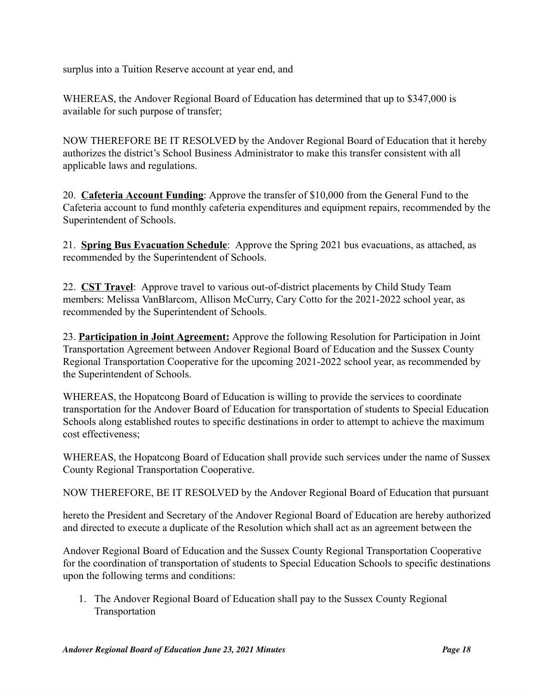surplus into a Tuition Reserve account at year end, and

WHEREAS, the Andover Regional Board of Education has determined that up to \$347,000 is available for such purpose of transfer;

NOW THEREFORE BE IT RESOLVED by the Andover Regional Board of Education that it hereby authorizes the district's School Business Administrator to make this transfer consistent with all applicable laws and regulations.

20. **Cafeteria Account Funding**: Approve the transfer of \$10,000 from the General Fund to the Cafeteria account to fund monthly cafeteria expenditures and equipment repairs, recommended by the Superintendent of Schools.

21. **Spring Bus Evacuation Schedule**: Approve the Spring 2021 bus evacuations, as attached, as recommended by the Superintendent of Schools.

22. **CST Travel**: Approve travel to various out-of-district placements by Child Study Team members: Melissa VanBlarcom, Allison McCurry, Cary Cotto for the 2021-2022 school year, as recommended by the Superintendent of Schools.

23. **Participation in Joint Agreement:** Approve the following Resolution for Participation in Joint Transportation Agreement between Andover Regional Board of Education and the Sussex County Regional Transportation Cooperative for the upcoming 2021-2022 school year, as recommended by the Superintendent of Schools.

WHEREAS, the Hopatcong Board of Education is willing to provide the services to coordinate transportation for the Andover Board of Education for transportation of students to Special Education Schools along established routes to specific destinations in order to attempt to achieve the maximum cost effectiveness;

WHEREAS, the Hopatcong Board of Education shall provide such services under the name of Sussex County Regional Transportation Cooperative.

NOW THEREFORE, BE IT RESOLVED by the Andover Regional Board of Education that pursuant

hereto the President and Secretary of the Andover Regional Board of Education are hereby authorized and directed to execute a duplicate of the Resolution which shall act as an agreement between the

Andover Regional Board of Education and the Sussex County Regional Transportation Cooperative for the coordination of transportation of students to Special Education Schools to specific destinations upon the following terms and conditions:

1. The Andover Regional Board of Education shall pay to the Sussex County Regional Transportation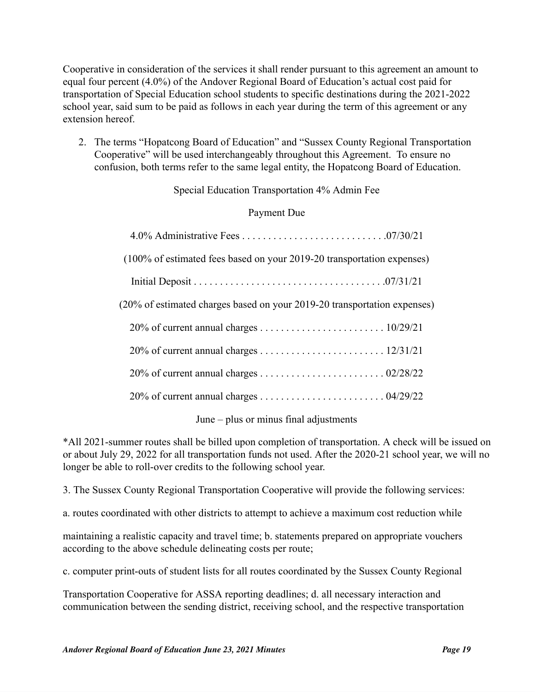Cooperative in consideration of the services it shall render pursuant to this agreement an amount to equal four percent (4.0%) of the Andover Regional Board of Education's actual cost paid for transportation of Special Education school students to specific destinations during the 2021-2022 school year, said sum to be paid as follows in each year during the term of this agreement or any extension hereof.

2. The terms "Hopatcong Board of Education" and "Sussex County Regional Transportation Cooperative" will be used interchangeably throughout this Agreement. To ensure no confusion, both terms refer to the same legal entity, the Hopatcong Board of Education.

### Special Education Transportation 4% Admin Fee

### Payment Due

| (100% of estimated fees based on your 2019-20 transportation expenses)   |  |
|--------------------------------------------------------------------------|--|
|                                                                          |  |
| (20% of estimated charges based on your 2019-20 transportation expenses) |  |
|                                                                          |  |
|                                                                          |  |
|                                                                          |  |
|                                                                          |  |
|                                                                          |  |

June – plus or minus final adjustments

\*All 2021-summer routes shall be billed upon completion of transportation. A check will be issued on or about July 29, 2022 for all transportation funds not used. After the 2020-21 school year, we will no longer be able to roll-over credits to the following school year.

3. The Sussex County Regional Transportation Cooperative will provide the following services:

a. routes coordinated with other districts to attempt to achieve a maximum cost reduction while

maintaining a realistic capacity and travel time; b. statements prepared on appropriate vouchers according to the above schedule delineating costs per route;

c. computer print-outs of student lists for all routes coordinated by the Sussex County Regional

Transportation Cooperative for ASSA reporting deadlines; d. all necessary interaction and communication between the sending district, receiving school, and the respective transportation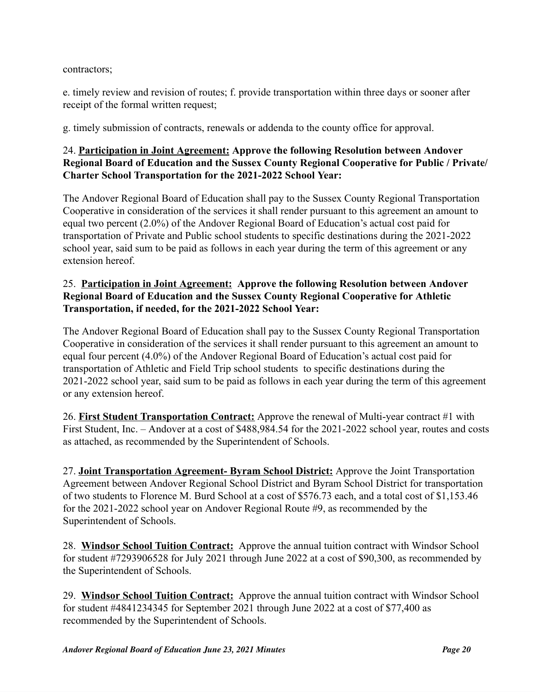contractors;

e. timely review and revision of routes; f. provide transportation within three days or sooner after receipt of the formal written request;

g. timely submission of contracts, renewals or addenda to the county office for approval.

# 24. **Participation in Joint Agreement: Approve the following Resolution between Andover Regional Board of Education and the Sussex County Regional Cooperative for Public / Private/ Charter School Transportation for the 2021-2022 School Year:**

The Andover Regional Board of Education shall pay to the Sussex County Regional Transportation Cooperative in consideration of the services it shall render pursuant to this agreement an amount to equal two percent (2.0%) of the Andover Regional Board of Education's actual cost paid for transportation of Private and Public school students to specific destinations during the 2021-2022 school year, said sum to be paid as follows in each year during the term of this agreement or any extension hereof.

# 25. **Participation in Joint Agreement: Approve the following Resolution between Andover Regional Board of Education and the Sussex County Regional Cooperative for Athletic Transportation, if needed, for the 2021-2022 School Year:**

The Andover Regional Board of Education shall pay to the Sussex County Regional Transportation Cooperative in consideration of the services it shall render pursuant to this agreement an amount to equal four percent (4.0%) of the Andover Regional Board of Education's actual cost paid for transportation of Athletic and Field Trip school students to specific destinations during the 2021-2022 school year, said sum to be paid as follows in each year during the term of this agreement or any extension hereof.

26. **First Student Transportation Contract:** Approve the renewal of Multi-year contract #1 with First Student, Inc. – Andover at a cost of \$488,984.54 for the 2021-2022 school year, routes and costs as attached, as recommended by the Superintendent of Schools.

27. **Joint Transportation Agreement- Byram School District:** Approve the Joint Transportation Agreement between Andover Regional School District and Byram School District for transportation of two students to Florence M. Burd School at a cost of \$576.73 each, and a total cost of \$1,153.46 for the 2021-2022 school year on Andover Regional Route #9, as recommended by the Superintendent of Schools.

28. **Windsor School Tuition Contract:** Approve the annual tuition contract with Windsor School for student #7293906528 for July 2021 through June 2022 at a cost of \$90,300, as recommended by the Superintendent of Schools.

29. **Windsor School Tuition Contract:** Approve the annual tuition contract with Windsor School for student #4841234345 for September 2021 through June 2022 at a cost of \$77,400 as recommended by the Superintendent of Schools.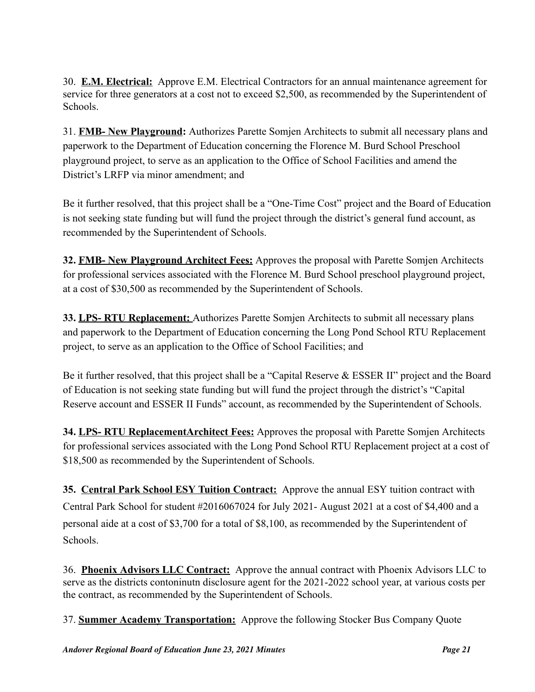30. **E.M. Electrical:** Approve E.M. Electrical Contractors for an annual maintenance agreement for service for three generators at a cost not to exceed \$2,500, as recommended by the Superintendent of Schools.

31. **FMB- New Playground:** Authorizes Parette Somjen Architects to submit all necessary plans and paperwork to the Department of Education concerning the Florence M. Burd School Preschool playground project, to serve as an application to the Office of School Facilities and amend the District's LRFP via minor amendment; and

Be it further resolved, that this project shall be a "One-Time Cost" project and the Board of Education is not seeking state funding but will fund the project through the district's general fund account, as recommended by the Superintendent of Schools.

**32. FMB- New Playground Architect Fees:** Approves the proposal with Parette Somjen Architects for professional services associated with the Florence M. Burd School preschool playground project, at a cost of \$30,500 as recommended by the Superintendent of Schools.

**33. LPS- RTU Replacement:** Authorizes Parette Somjen Architects to submit all necessary plans and paperwork to the Department of Education concerning the Long Pond School RTU Replacement project, to serve as an application to the Office of School Facilities; and

Be it further resolved, that this project shall be a "Capital Reserve & ESSER II" project and the Board of Education is not seeking state funding but will fund the project through the district's "Capital Reserve account and ESSER II Funds" account, as recommended by the Superintendent of Schools.

**34. LPS- RTU ReplacementArchitect Fees:** Approves the proposal with Parette Somjen Architects for professional services associated with the Long Pond School RTU Replacement project at a cost of \$18,500 as recommended by the Superintendent of Schools.

**35. Central Park School ESY Tuition Contract:** Approve the annual ESY tuition contract with Central Park School for student #2016067024 for July 2021- August 2021 at a cost of \$4,400 and a personal aide at a cost of \$3,700 for a total of \$8,100, as recommended by the Superintendent of Schools.

36. **Phoenix Advisors LLC Contract:** Approve the annual contract with Phoenix Advisors LLC to serve as the districts contoninutn disclosure agent for the 2021-2022 school year, at various costs per the contract, as recommended by the Superintendent of Schools.

37. **Summer Academy Transportation:** Approve the following Stocker Bus Company Quote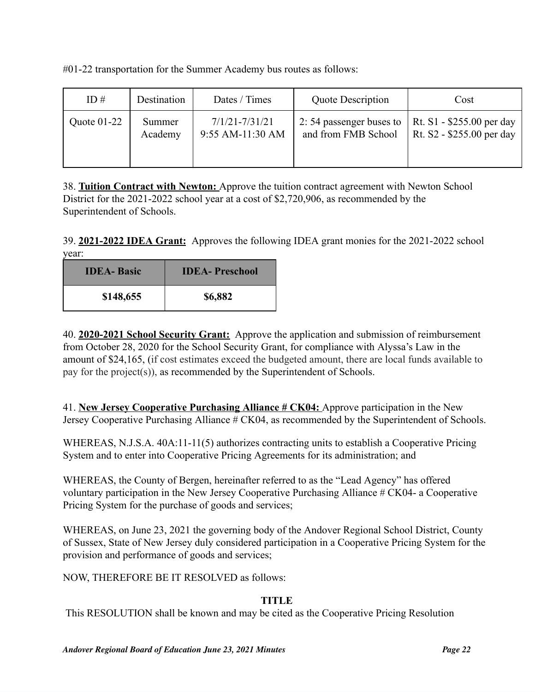| ID $#$        | Destination | Dates / Times      | <b>Quote Description</b> | Cost                      |
|---------------|-------------|--------------------|--------------------------|---------------------------|
| Quote $01-22$ | Summer      | $7/1/21 - 7/31/21$ | 2:54 passenger buses to  | Rt. S1 - \$255.00 per day |
|               | Academy     | 9:55 AM-11:30 AM   | and from FMB School      | Rt. S2 - \$255.00 per day |

#01-22 transportation for the Summer Academy bus routes as follows:

38. **Tuition Contract with Newton:** Approve the tuition contract agreement with Newton School District for the 2021-2022 school year at a cost of \$2,720,906, as recommended by the Superintendent of Schools.

39. **2021-2022 IDEA Grant:** Approves the following IDEA grant monies for the 2021-2022 school year:

| <b>IDEA-</b> Basic | <b>IDEA-Preschool</b> |  |  |
|--------------------|-----------------------|--|--|
| \$148,655          | \$6,882               |  |  |

40. **2020-2021 School Security Grant:** Approve the application and submission of reimbursement from October 28, 2020 for the School Security Grant, for compliance with Alyssa's Law in the amount of \$24,165, (if cost estimates exceed the budgeted amount, there are local funds available to pay for the project(s)), as recommended by the Superintendent of Schools.

41. **New Jersey Cooperative Purchasing Alliance # CK04:** Approve participation in the New Jersey Cooperative Purchasing Alliance # CK04, as recommended by the Superintendent of Schools.

WHEREAS, N.J.S.A. 40A:11-11(5) authorizes contracting units to establish a Cooperative Pricing System and to enter into Cooperative Pricing Agreements for its administration; and

WHEREAS, the County of Bergen, hereinafter referred to as the "Lead Agency" has offered voluntary participation in the New Jersey Cooperative Purchasing Alliance # CK04- a Cooperative Pricing System for the purchase of goods and services;

WHEREAS, on June 23, 2021 the governing body of the Andover Regional School District, County of Sussex, State of New Jersey duly considered participation in a Cooperative Pricing System for the provision and performance of goods and services;

NOW, THEREFORE BE IT RESOLVED as follows:

# **TITLE**

This RESOLUTION shall be known and may be cited as the Cooperative Pricing Resolution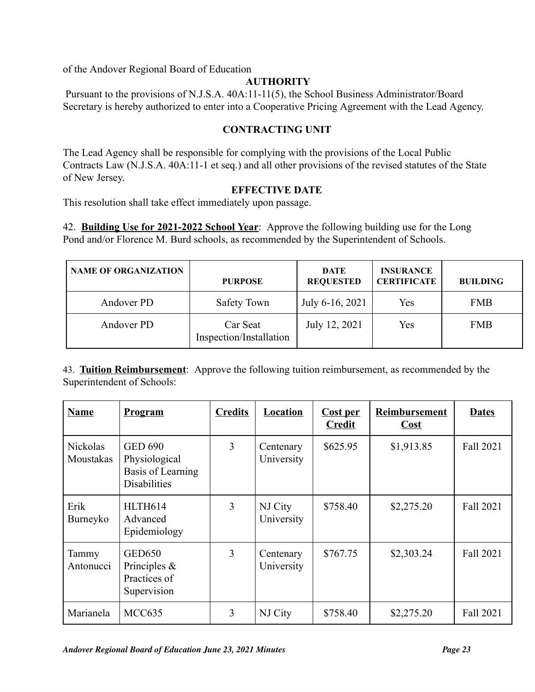of the Andover Regional Board of Education

# **AUTHORITY**

Pursuant to the provisions of N.J.S.A. 40A:11-11(5), the School Business Administrator/Board Secretary is hereby authorized to enter into a Cooperative Pricing Agreement with the Lead Agency.

### **CONTRACTING UNIT**

The Lead Agency shall be responsible for complying with the provisions of the Local Public Contracts Law (N.J.S.A. 40A:11-1 et seq.) and all other provisions of the revised statutes of the State of New Jersey.

### **EFFECTIVE DATE**

This resolution shall take effect immediately upon passage.

42. **Building Use for 2021-2022 School Year**: Approve the following building use for the Long Pond and/or Florence M. Burd schools, as recommended by the Superintendent of Schools.

| <b>NAME OF ORGANIZATION</b>                       | <b>PURPOSE</b> | <b>DATE</b><br><b>REQUESTED</b> | <b>INSURANCE</b><br><b>CERTIFICATE</b> | <b>BUILDING</b> |
|---------------------------------------------------|----------------|---------------------------------|----------------------------------------|-----------------|
| Andover PD                                        | Safety Town    |                                 | Yes                                    | <b>FMB</b>      |
| Andover PD<br>Car Seat<br>Inspection/Installation |                | July 12, 2021                   | Yes                                    | <b>FMB</b>      |

43. **Tuition Reimbursement**: Approve the following tuition reimbursement, as recommended by the Superintendent of Schools:

| <b>Name</b>                  | <b>Program</b>                                                              | <b>Credits</b> | Location                | <b>Cost per</b><br><b>Credit</b> | Reimbursement<br>Cost | <b>Dates</b> |
|------------------------------|-----------------------------------------------------------------------------|----------------|-------------------------|----------------------------------|-----------------------|--------------|
| <b>Nickolas</b><br>Moustakas | <b>GED 690</b><br>Physiological<br>Basis of Learning<br><b>Disabilities</b> | 3              | Centenary<br>University | \$625.95                         | \$1,913.85            | Fall 2021    |
| Erik<br>Burneyko             | HLTH614<br>Advanced<br>Epidemiology                                         | 3              | NJ City<br>University   | \$758.40                         | \$2,275.20            | Fall 2021    |
| Tammy<br>Antonucci           | <b>GED650</b><br>Principles &<br>Practices of<br>Supervision                | 3              | Centenary<br>University | \$767.75                         | \$2,303.24            | Fall 2021    |
| Marianela                    | MCC635                                                                      | 3              | NJ City                 | \$758.40                         | \$2,275.20            | Fall 2021    |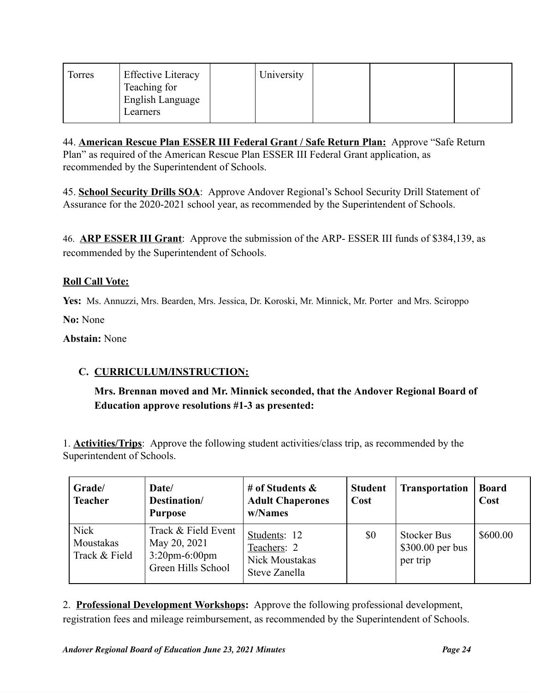| Torres | <b>Effective Literacy</b><br>Teaching for<br>English Language | University |  |  |
|--------|---------------------------------------------------------------|------------|--|--|
|        | Learners                                                      |            |  |  |

44. **American Rescue Plan ESSER III Federal Grant / Safe Return Plan:** Approve "Safe Return Plan" as required of the American Rescue Plan ESSER III Federal Grant application, as recommended by the Superintendent of Schools.

45. **School Security Drills SOA**: Approve Andover Regional's School Security Drill Statement of Assurance for the 2020-2021 school year, as recommended by the Superintendent of Schools.

46. **ARP ESSER III Grant**: Approve the submission of the ARP- ESSER III funds of \$384,139, as recommended by the Superintendent of Schools.

# **Roll Call Vote:**

**Yes:** Ms. Annuzzi, Mrs. Bearden, Mrs. Jessica, Dr. Koroski, Mr. Minnick, Mr. Porter and Mrs. Sciroppo

**No:** None

### **Abstain:** None

# **C. CURRICULUM/INSTRUCTION:**

# **Mrs. Brennan moved and Mr. Minnick seconded, that the Andover Regional Board of Education approve resolutions #1-3 as presented:**

1. **Activities/Trips**: Approve the following student activities/class trip, as recommended by the Superintendent of Schools.

| Grade/<br><b>Teacher</b>                  | Date/<br>Destination/<br><b>Purpose</b>                                       | # of Students $\&$<br><b>Adult Chaperones</b><br>w/Names              | <b>Student</b><br>Cost | <b>Transportation</b>                               | <b>Board</b><br>Cost |
|-------------------------------------------|-------------------------------------------------------------------------------|-----------------------------------------------------------------------|------------------------|-----------------------------------------------------|----------------------|
| <b>Nick</b><br>Moustakas<br>Track & Field | Track & Field Event<br>May 20, 2021<br>$3:20$ pm-6:00pm<br>Green Hills School | Students: 12<br>Teachers: 2<br><b>Nick Moustakas</b><br>Steve Zanella | \$0                    | <b>Stocker Bus</b><br>$$300.00$ per bus<br>per trip | \$600.00             |

2. **Professional Development Workshops:** Approve the following professional development, registration fees and mileage reimbursement, as recommended by the Superintendent of Schools.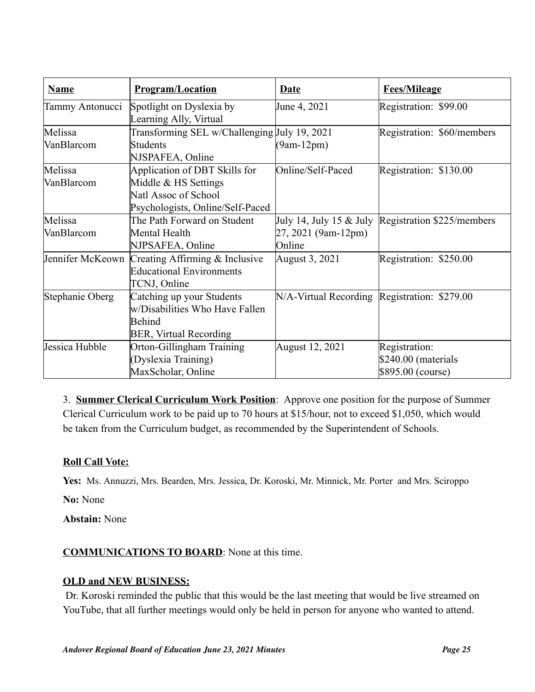| <b>Name</b>           | <b>Program/Location</b>                                                                                           | <u>Date</u>                                  | <b>Fees/Mileage</b>                                       |
|-----------------------|-------------------------------------------------------------------------------------------------------------------|----------------------------------------------|-----------------------------------------------------------|
| Tammy Antonucci       | Spotlight on Dyslexia by<br>Learning Ally, Virtual                                                                | June 4, 2021                                 | Registration: \$99.00                                     |
| Melissa<br>VanBlarcom | Transforming SEL w/Challenging July 19, 2021<br><b>Students</b><br>NJSPAFEA, Online                               | $(9am-12pm)$                                 | Registration: \$60/members                                |
| Melissa<br>VanBlarcom | Application of DBT Skills for<br>Middle & HS Settings<br>Natl Assoc of School<br>Psychologists, Online/Self-Paced | Online/Self-Paced                            | Registration: \$130.00                                    |
| Melissa<br>VanBlarcom | The Path Forward on Student<br>Mental Health<br>NJPSAFEA, Online                                                  | 27, 2021 (9am-12pm)<br>Online                | July 14, July 15 $&$ July Registration \$225/members      |
|                       | Jennifer McKeown Creating Affirming & Inclusive<br><b>Educational Environments</b><br>TCNJ, Online                | August 3, 2021                               | Registration: \$250.00                                    |
| Stephanie Oberg       | Catching up your Students<br>w/Disabilities Who Have Fallen<br><b>Behind</b><br><b>BER, Virtual Recording</b>     | N/A-Virtual Recording Registration: \$279.00 |                                                           |
| Jessica Hubble        | Orton-Gillingham Training<br>(Dyslexia Training)<br>MaxScholar, Online                                            | August 12, 2021                              | Registration:<br>\$240.00 (materials<br>\$895.00 (course) |

3. **Summer Clerical Curriculum Work Position**: Approve one position for the purpose of Summer Clerical Curriculum work to be paid up to 70 hours at \$15/hour, not to exceed \$1,050, which would be taken from the Curriculum budget, as recommended by the Superintendent of Schools.

# **Roll Call Vote:**

**Yes:** Ms. Annuzzi, Mrs. Bearden, Mrs. Jessica, Dr. Koroski, Mr. Minnick, Mr. Porter and Mrs. Sciroppo

**No:** None

**Abstain:** None

# **COMMUNICATIONS TO BOARD**: None at this time.

# **OLD and NEW BUSINESS:**

Dr. Koroski reminded the public that this would be the last meeting that would be live streamed on YouTube, that all further meetings would only be held in person for anyone who wanted to attend.